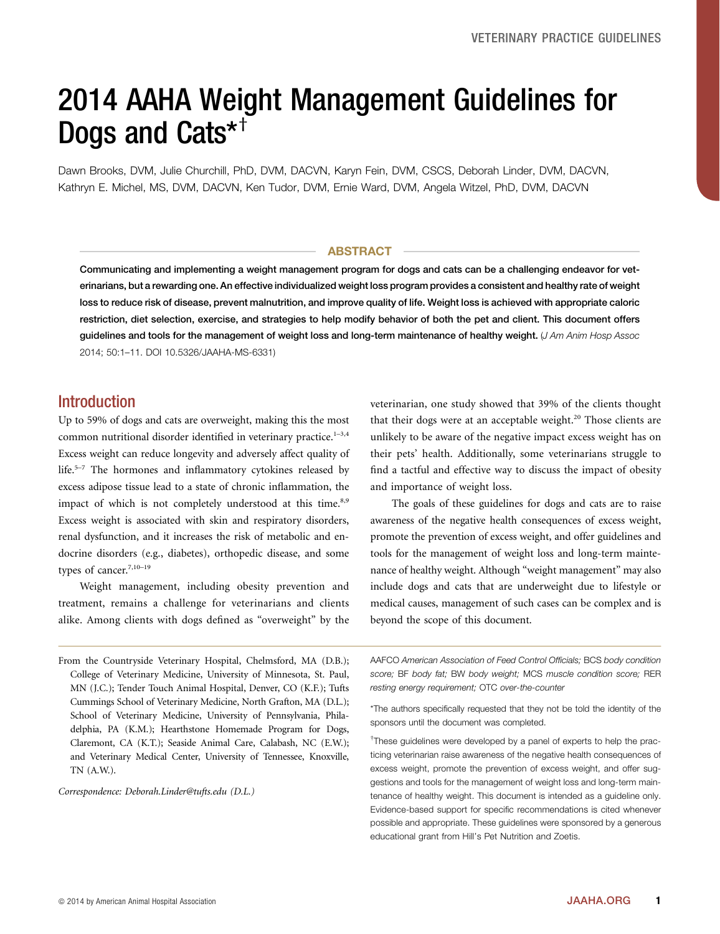# 2014 AAHA Weight Management Guidelines for Dogs and Cats $*$ <sup>†</sup>

Dawn Brooks, DVM, Julie Churchill, PhD, DVM, DACVN, Karyn Fein, DVM, CSCS, Deborah Linder, DVM, DACVN, Kathryn E. Michel, MS, DVM, DACVN, Ken Tudor, DVM, Ernie Ward, DVM, Angela Witzel, PhD, DVM, DACVN

### ABSTRACT

Communicating and implementing a weight management program for dogs and cats can be a challenging endeavor for veterinarians, but a rewarding one. An effective individualized weight loss program provides a consistent and healthy rate of weight loss to reduce risk of disease, prevent malnutrition, and improve quality of life. Weight loss is achieved with appropriate caloric restriction, diet selection, exercise, and strategies to help modify behavior of both the pet and client. This document offers guidelines and tools for the management of weight loss and long-term maintenance of healthy weight. (J Am Anim Hosp Assoc 2014; 50:1–11. DOI 10.5326/JAAHA-MS-6331)

# Introduction

Up to 59% of dogs and cats are overweight, making this the most common nutritional disorder identified in veterinary practice.<sup>1-3,4</sup> Excess weight can reduce longevity and adversely affect quality of life.<sup>5</sup>–<sup>7</sup> The hormones and inflammatory cytokines released by excess adipose tissue lead to a state of chronic inflammation, the impact of which is not completely understood at this time.<sup>8,9</sup> Excess weight is associated with skin and respiratory disorders, renal dysfunction, and it increases the risk of metabolic and endocrine disorders (e.g., diabetes), orthopedic disease, and some types of cancer.<sup>7,10-19</sup>

Weight management, including obesity prevention and treatment, remains a challenge for veterinarians and clients alike. Among clients with dogs defined as "overweight" by the

From the Countryside Veterinary Hospital, Chelmsford, MA (D.B.); College of Veterinary Medicine, University of Minnesota, St. Paul, MN (J.C.); Tender Touch Animal Hospital, Denver, CO (K.F.); Tufts Cummings School of Veterinary Medicine, North Grafton, MA (D.L.); School of Veterinary Medicine, University of Pennsylvania, Philadelphia, PA (K.M.); Hearthstone Homemade Program for Dogs, Claremont, CA (K.T.); Seaside Animal Care, Calabash, NC (E.W.); and Veterinary Medical Center, University of Tennessee, Knoxville, TN (A.W.).

Correspondence: [Deborah.Linder@tufts.edu](mailto:Deborah.Linder@tufts.edu) (D.L.)

veterinarian, one study showed that 39% of the clients thought that their dogs were at an acceptable weight. $20$  Those clients are unlikely to be aware of the negative impact excess weight has on their pets' health. Additionally, some veterinarians struggle to find a tactful and effective way to discuss the impact of obesity and importance of weight loss.

The goals of these guidelines for dogs and cats are to raise awareness of the negative health consequences of excess weight, promote the prevention of excess weight, and offer guidelines and tools for the management of weight loss and long-term maintenance of healthy weight. Although "weight management" may also include dogs and cats that are underweight due to lifestyle or medical causes, management of such cases can be complex and is beyond the scope of this document.

AAFCO American Association of Feed Control Officials; BCS body condition score; BF body fat; BW body weight; MCS muscle condition score; RER resting energy requirement; OTC over-the-counter

\*The authors specifically requested that they not be told the identity of the sponsors until the document was completed.

<sup>†</sup>These guidelines were developed by a panel of experts to help the practicing veterinarian raise awareness of the negative health consequences of excess weight, promote the prevention of excess weight, and offer suggestions and tools for the management of weight loss and long-term maintenance of healthy weight. This document is intended as a guideline only. Evidence-based support for specific recommendations is cited whenever possible and appropriate. These guidelines were sponsored by a generous educational grant from Hill's Pet Nutrition and Zoetis.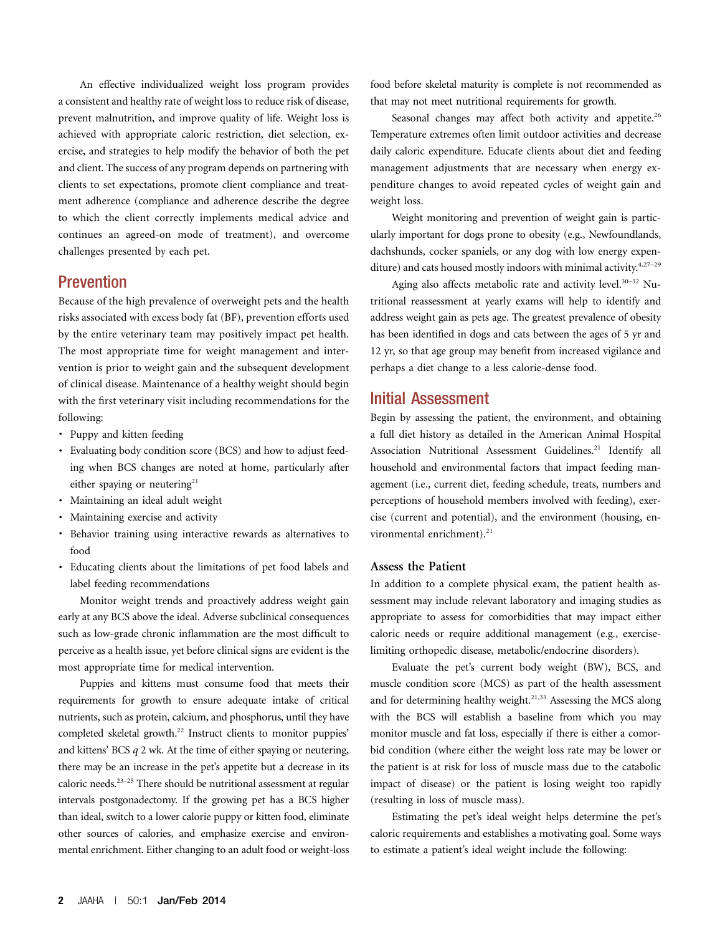An effective individualized weight loss program provides a consistent and healthy rate of weight loss to reduce risk of disease, prevent malnutrition, and improve quality of life. Weight loss is achieved with appropriate caloric restriction, diet selection, exercise, and strategies to help modify the behavior of both the pet and client. The success of any program depends on partnering with clients to set expectations, promote client compliance and treatment adherence (compliance and adherence describe the degree to which the client correctly implements medical advice and continues an agreed-on mode of treatment), and overcome challenges presented by each pet.

# Prevention

Because of the high prevalence of overweight pets and the health risks associated with excess body fat (BF), prevention efforts used by the entire veterinary team may positively impact pet health. The most appropriate time for weight management and intervention is prior to weight gain and the subsequent development of clinical disease. Maintenance of a healthy weight should begin with the first veterinary visit including recommendations for the following:

- · Puppy and kitten feeding
- · Evaluating body condition score (BCS) and how to adjust feeding when BCS changes are noted at home, particularly after either spaying or neutering<sup>21</sup>
- · Maintaining an ideal adult weight
- · Maintaining exercise and activity
- · Behavior training using interactive rewards as alternatives to food
- · Educating clients about the limitations of pet food labels and label feeding recommendations

Monitor weight trends and proactively address weight gain early at any BCS above the ideal. Adverse subclinical consequences such as low-grade chronic inflammation are the most difficult to perceive as a health issue, yet before clinical signs are evident is the most appropriate time for medical intervention.

Puppies and kittens must consume food that meets their requirements for growth to ensure adequate intake of critical nutrients, such as protein, calcium, and phosphorus, until they have completed skeletal growth.<sup>22</sup> Instruct clients to monitor puppies' and kittens' BCS q 2 wk. At the time of either spaying or neutering, there may be an increase in the pet's appetite but a decrease in its caloric needs.23–<sup>25</sup> There should be nutritional assessment at regular intervals postgonadectomy. If the growing pet has a BCS higher than ideal, switch to a lower calorie puppy or kitten food, eliminate other sources of calories, and emphasize exercise and environmental enrichment. Either changing to an adult food or weight-loss food before skeletal maturity is complete is not recommended as that may not meet nutritional requirements for growth.

Seasonal changes may affect both activity and appetite.<sup>26</sup> Temperature extremes often limit outdoor activities and decrease daily caloric expenditure. Educate clients about diet and feeding management adjustments that are necessary when energy expenditure changes to avoid repeated cycles of weight gain and weight loss.

Weight monitoring and prevention of weight gain is particularly important for dogs prone to obesity (e.g., Newfoundlands, dachshunds, cocker spaniels, or any dog with low energy expenditure) and cats housed mostly indoors with minimal activity.<sup>4,27–29</sup>

Aging also affects metabolic rate and activity level.<sup>30–32</sup> Nutritional reassessment at yearly exams will help to identify and address weight gain as pets age. The greatest prevalence of obesity has been identified in dogs and cats between the ages of 5 yr and 12 yr, so that age group may benefit from increased vigilance and perhaps a diet change to a less calorie-dense food.

## Initial Assessment

Begin by assessing the patient, the environment, and obtaining a full diet history as detailed in the American Animal Hospital Association Nutritional Assessment Guidelines.<sup>21</sup> Identify all household and environmental factors that impact feeding management (i.e., current diet, feeding schedule, treats, numbers and perceptions of household members involved with feeding), exercise (current and potential), and the environment (housing, environmental enrichment).<sup>21</sup>

### Assess the Patient

In addition to a complete physical exam, the patient health assessment may include relevant laboratory and imaging studies as appropriate to assess for comorbidities that may impact either caloric needs or require additional management (e.g., exerciselimiting orthopedic disease, metabolic/endocrine disorders).

Evaluate the pet's current body weight (BW), BCS, and muscle condition score (MCS) as part of the health assessment and for determining healthy weight.<sup>21,33</sup> Assessing the MCS along with the BCS will establish a baseline from which you may monitor muscle and fat loss, especially if there is either a comorbid condition (where either the weight loss rate may be lower or the patient is at risk for loss of muscle mass due to the catabolic impact of disease) or the patient is losing weight too rapidly (resulting in loss of muscle mass).

Estimating the pet's ideal weight helps determine the pet's caloric requirements and establishes a motivating goal. Some ways to estimate a patient's ideal weight include the following: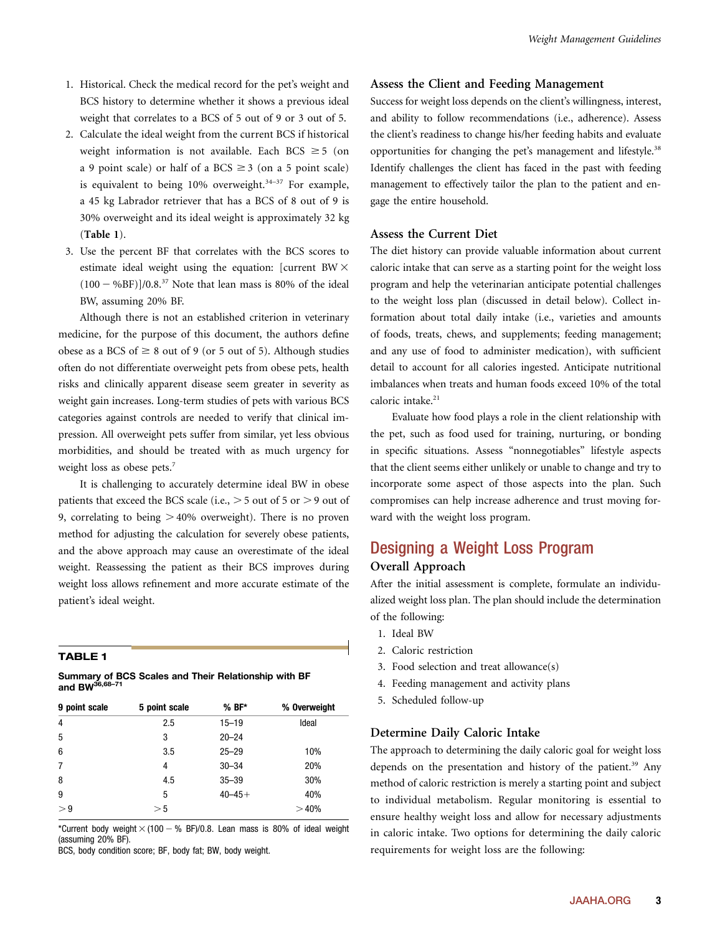- 1. Historical. Check the medical record for the pet's weight and BCS history to determine whether it shows a previous ideal weight that correlates to a BCS of 5 out of 9 or 3 out of 5.
- 2. Calculate the ideal weight from the current BCS if historical weight information is not available. Each BCS  $\geq$  5 (on a 9 point scale) or half of a BCS  $\geq$  3 (on a 5 point scale) is equivalent to being  $10\%$  overweight.<sup>34-37</sup> For example, a 45 kg Labrador retriever that has a BCS of 8 out of 9 is 30% overweight and its ideal weight is approximately 32 kg (Table 1).
- 3. Use the percent BF that correlates with the BCS scores to estimate ideal weight using the equation: [current BW $\times$  $(100 - %BF)/0.8$ <sup>37</sup> Note that lean mass is 80% of the ideal BW, assuming 20% BF.

Although there is not an established criterion in veterinary medicine, for the purpose of this document, the authors define obese as a BCS of  $\geq 8$  out of 9 (or 5 out of 5). Although studies often do not differentiate overweight pets from obese pets, health risks and clinically apparent disease seem greater in severity as weight gain increases. Long-term studies of pets with various BCS categories against controls are needed to verify that clinical impression. All overweight pets suffer from similar, yet less obvious morbidities, and should be treated with as much urgency for weight loss as obese pets.<sup>7</sup>

It is challenging to accurately determine ideal BW in obese patients that exceed the BCS scale (i.e.,  $>$  5 out of 5 or  $>$  9 out of 9, correlating to being  $>40\%$  overweight). There is no proven method for adjusting the calculation for severely obese patients, and the above approach may cause an overestimate of the ideal weight. Reassessing the patient as their BCS improves during weight loss allows refinement and more accurate estimate of the patient's ideal weight.

#### TABLE 1

| Summary of BCS Scales and Their Relationship with BF |  |  |  |
|------------------------------------------------------|--|--|--|
| and BW $^{\rm 36,68-71}$                             |  |  |  |

| 9 point scale | 5 point scale | $%BF*$      | % Overweight |
|---------------|---------------|-------------|--------------|
| 4             | 2.5           | $15 - 19$   | Ideal        |
| 5             | 3             | $20 - 24$   |              |
| 6             | 3.5           | $25 - 29$   | 10%          |
| 7             | 4             | $30 - 34$   | 20%          |
| 8             | 4.5           | $35 - 39$   | 30%          |
| 9             | 5             | $40 - 45 +$ | 40%          |
| > 9           | > 5           |             | >40%         |

\*Current body weight  $\times$  (100  $-$  % BF)/0.8. Lean mass is 80% of ideal weight (assuming 20% BF).

BCS, body condition score; BF, body fat; BW, body weight.

## Assess the Client and Feeding Management

Success for weight loss depends on the client's willingness, interest, and ability to follow recommendations (i.e., adherence). Assess the client's readiness to change his/her feeding habits and evaluate opportunities for changing the pet's management and lifestyle.<sup>38</sup> Identify challenges the client has faced in the past with feeding management to effectively tailor the plan to the patient and engage the entire household.

## Assess the Current Diet

The diet history can provide valuable information about current caloric intake that can serve as a starting point for the weight loss program and help the veterinarian anticipate potential challenges to the weight loss plan (discussed in detail below). Collect information about total daily intake (i.e., varieties and amounts of foods, treats, chews, and supplements; feeding management; and any use of food to administer medication), with sufficient detail to account for all calories ingested. Anticipate nutritional imbalances when treats and human foods exceed 10% of the total caloric intake.<sup>21</sup>

Evaluate how food plays a role in the client relationship with the pet, such as food used for training, nurturing, or bonding in specific situations. Assess "nonnegotiables" lifestyle aspects that the client seems either unlikely or unable to change and try to incorporate some aspect of those aspects into the plan. Such compromises can help increase adherence and trust moving forward with the weight loss program.

# Designing a Weight Loss Program Overall Approach

After the initial assessment is complete, formulate an individualized weight loss plan. The plan should include the determination of the following:

- 1. Ideal BW
- 2. Caloric restriction
- 3. Food selection and treat allowance(s)
- 4. Feeding management and activity plans
- 5. Scheduled follow-up

#### Determine Daily Caloric Intake

The approach to determining the daily caloric goal for weight loss depends on the presentation and history of the patient.<sup>39</sup> Any method of caloric restriction is merely a starting point and subject to individual metabolism. Regular monitoring is essential to ensure healthy weight loss and allow for necessary adjustments in caloric intake. Two options for determining the daily caloric requirements for weight loss are the following: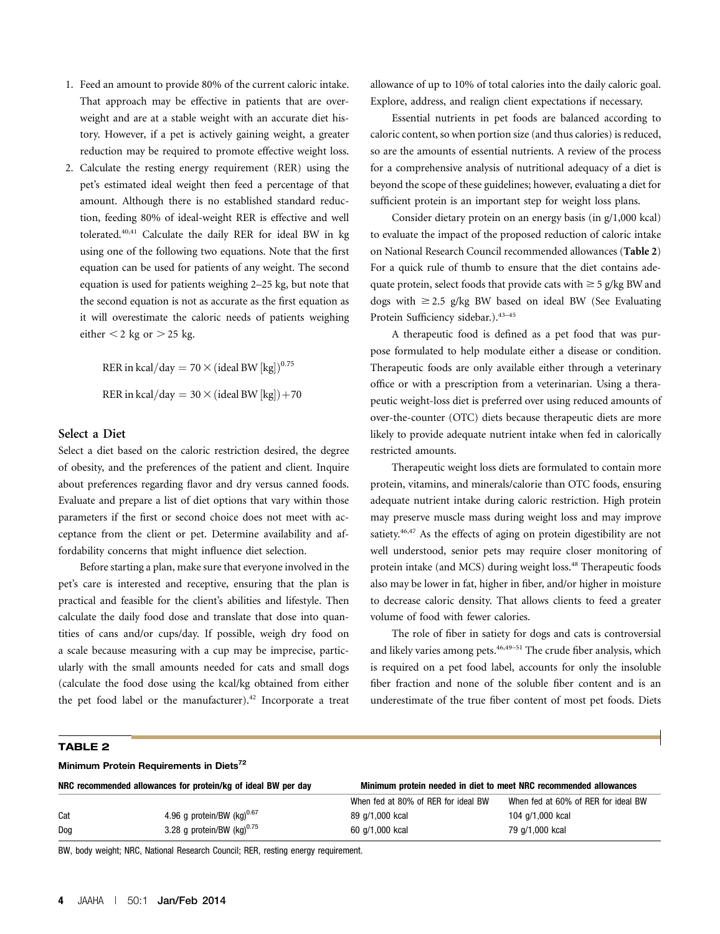- 1. Feed an amount to provide 80% of the current caloric intake. That approach may be effective in patients that are overweight and are at a stable weight with an accurate diet history. However, if a pet is actively gaining weight, a greater reduction may be required to promote effective weight loss.
- 2. Calculate the resting energy requirement (RER) using the pet's estimated ideal weight then feed a percentage of that amount. Although there is no established standard reduction, feeding 80% of ideal-weight RER is effective and well tolerated.40,41 Calculate the daily RER for ideal BW in kg using one of the following two equations. Note that the first equation can be used for patients of any weight. The second equation is used for patients weighing 2–25 kg, but note that the second equation is not as accurate as the first equation as it will overestimate the caloric needs of patients weighing either  $<$  2 kg or  $>$  25 kg.

RER in kcal/day =  $70 \times ($ ideal BW  ${[kg]}^{0.75}$ RER in kcal/day =  $30 \times$  (ideal BW [kg]) + 70

## Select a Diet

Select a diet based on the caloric restriction desired, the degree of obesity, and the preferences of the patient and client. Inquire about preferences regarding flavor and dry versus canned foods. Evaluate and prepare a list of diet options that vary within those parameters if the first or second choice does not meet with acceptance from the client or pet. Determine availability and affordability concerns that might influence diet selection.

Before starting a plan, make sure that everyone involved in the pet's care is interested and receptive, ensuring that the plan is practical and feasible for the client's abilities and lifestyle. Then calculate the daily food dose and translate that dose into quantities of cans and/or cups/day. If possible, weigh dry food on a scale because measuring with a cup may be imprecise, particularly with the small amounts needed for cats and small dogs (calculate the food dose using the kcal/kg obtained from either the pet food label or the manufacturer). $42$  Incorporate a treat allowance of up to 10% of total calories into the daily caloric goal. Explore, address, and realign client expectations if necessary.

Essential nutrients in pet foods are balanced according to caloric content, so when portion size (and thus calories) is reduced, so are the amounts of essential nutrients. A review of the process for a comprehensive analysis of nutritional adequacy of a diet is beyond the scope of these guidelines; however, evaluating a diet for sufficient protein is an important step for weight loss plans.

Consider dietary protein on an energy basis (in g/1,000 kcal) to evaluate the impact of the proposed reduction of caloric intake on National Research Council recommended allowances (Table 2) For a quick rule of thumb to ensure that the diet contains adequate protein, select foods that provide cats with  $\geq$  5 g/kg BW and dogs with  $\geq$  2.5 g/kg BW based on ideal BW (See Evaluating Protein Sufficiency sidebar.).<sup>43</sup>–<sup>45</sup>

A therapeutic food is defined as a pet food that was purpose formulated to help modulate either a disease or condition. Therapeutic foods are only available either through a veterinary office or with a prescription from a veterinarian. Using a therapeutic weight-loss diet is preferred over using reduced amounts of over-the-counter (OTC) diets because therapeutic diets are more likely to provide adequate nutrient intake when fed in calorically restricted amounts.

Therapeutic weight loss diets are formulated to contain more protein, vitamins, and minerals/calorie than OTC foods, ensuring adequate nutrient intake during caloric restriction. High protein may preserve muscle mass during weight loss and may improve satiety.<sup>46,47</sup> As the effects of aging on protein digestibility are not well understood, senior pets may require closer monitoring of protein intake (and MCS) during weight loss.<sup>48</sup> Therapeutic foods also may be lower in fat, higher in fiber, and/or higher in moisture to decrease caloric density. That allows clients to feed a greater volume of food with fewer calories.

The role of fiber in satiety for dogs and cats is controversial and likely varies among pets.<sup>46,49–51</sup> The crude fiber analysis, which is required on a pet food label, accounts for only the insoluble fiber fraction and none of the soluble fiber content and is an underestimate of the true fiber content of most pet foods. Diets

#### TABLE 2

| Minimum Protein Requirements in Diets <sup>72</sup>           |                                        |                                                                   |                                     |  |
|---------------------------------------------------------------|----------------------------------------|-------------------------------------------------------------------|-------------------------------------|--|
| NRC recommended allowances for protein/kg of ideal BW per day |                                        | Minimum protein needed in diet to meet NRC recommended allowances |                                     |  |
|                                                               |                                        | When fed at 80% of RER for ideal BW                               | When fed at 60% of RER for ideal BW |  |
| Cat                                                           | 4.96 g protein/BW (kg) <sup>0.67</sup> | 89 g/1,000 kcal                                                   | 104 g/1,000 kcal                    |  |
| Dog                                                           | 3.28 g protein/BW $(kg)^{0.75}$        | 60 g/1,000 kcal                                                   | 79 g/1,000 kcal                     |  |

BW, body weight; NRC, National Research Council; RER, resting energy requirement.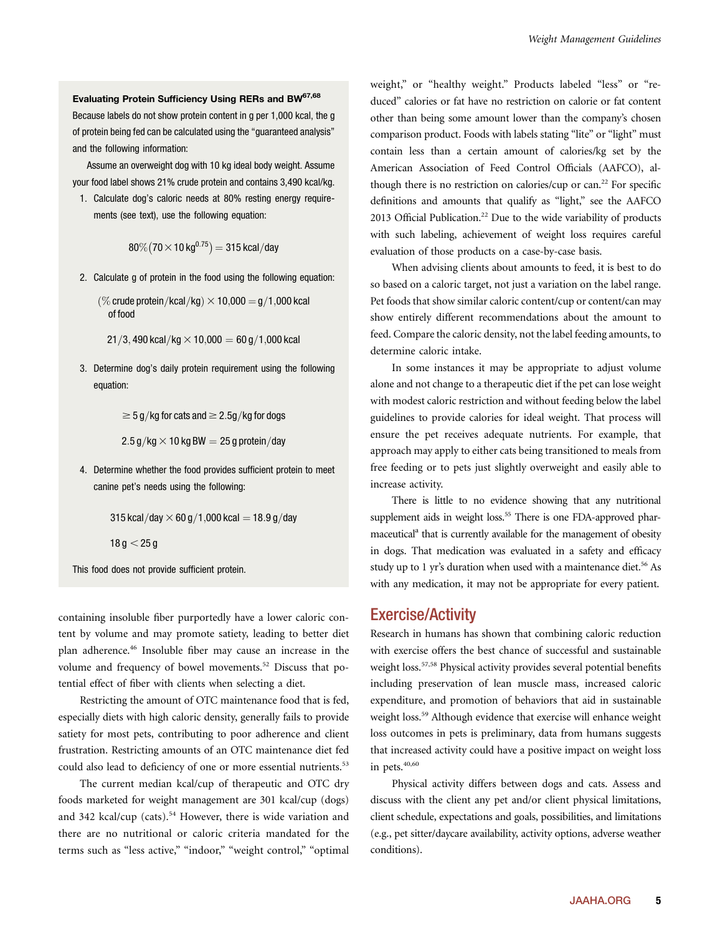## Evaluating Protein Sufficiency Using RERs and BW67,68

Because labels do not show protein content in g per 1,000 kcal, the g of protein being fed can be calculated using the "guaranteed analysis" and the following information:

Assume an overweight dog with 10 kg ideal body weight. Assume your food label shows 21% crude protein and contains 3,490 kcal/kg.

1. Calculate dog's caloric needs at 80% resting energy requirements (see text), use the following equation:

$$
80\% (70 \times 10 \,\text{kg}^{0.75}) = 315 \,\text{kcal/day}
$$

2. Calculate g of protein in the food using the following equation:

 $\%$  crude protein/kcal/kg $) \times 10,000 = g/1,000$  kcal of food

21/3, 490 kcal/kg  $\times$  10,000 = 60 g/1,000 kcal

3. Determine dog's daily protein requirement using the following equation:

 $\geq$  5 g/kg for cats and  $\geq$  2.5g/kg for dogs

 $2.5$  g/kg  $\times$  10 kg BW  $=$  25 g protein/day

4. Determine whether the food provides sufficient protein to meet canine pet's needs using the following:

315 kcal/day  $\times$  60 g/1,000 kcal = 18.9 g/day

 $18 g < 25 g$ 

This food does not provide sufficient protein.

containing insoluble fiber purportedly have a lower caloric content by volume and may promote satiety, leading to better diet plan adherence.46 Insoluble fiber may cause an increase in the volume and frequency of bowel movements.<sup>52</sup> Discuss that potential effect of fiber with clients when selecting a diet.

Restricting the amount of OTC maintenance food that is fed, especially diets with high caloric density, generally fails to provide satiety for most pets, contributing to poor adherence and client frustration. Restricting amounts of an OTC maintenance diet fed could also lead to deficiency of one or more essential nutrients.<sup>53</sup>

The current median kcal/cup of therapeutic and OTC dry foods marketed for weight management are 301 kcal/cup (dogs) and 342 kcal/cup (cats).<sup>54</sup> However, there is wide variation and there are no nutritional or caloric criteria mandated for the terms such as "less active," "indoor," "weight control," "optimal weight," or "healthy weight." Products labeled "less" or "reduced" calories or fat have no restriction on calorie or fat content other than being some amount lower than the company's chosen comparison product. Foods with labels stating "lite" or "light" must contain less than a certain amount of calories/kg set by the American Association of Feed Control Officials (AAFCO), although there is no restriction on calories/ $cup$  or can.<sup>22</sup> For specific definitions and amounts that qualify as "light," see the AAFCO 2013 Official Publication.<sup>22</sup> Due to the wide variability of products with such labeling, achievement of weight loss requires careful evaluation of those products on a case-by-case basis.

When advising clients about amounts to feed, it is best to do so based on a caloric target, not just a variation on the label range. Pet foods that show similar caloric content/cup or content/can may show entirely different recommendations about the amount to feed. Compare the caloric density, not the label feeding amounts, to determine caloric intake.

In some instances it may be appropriate to adjust volume alone and not change to a therapeutic diet if the pet can lose weight with modest caloric restriction and without feeding below the label guidelines to provide calories for ideal weight. That process will ensure the pet receives adequate nutrients. For example, that approach may apply to either cats being transitioned to meals from free feeding or to pets just slightly overweight and easily able to increase activity.

There is little to no evidence showing that any nutritional supplement aids in weight loss.<sup>55</sup> There is one FDA-approved pharmaceutical<sup>a</sup> that is currently available for the management of obesity in dogs. That medication was evaluated in a safety and efficacy study up to 1 yr's duration when used with a maintenance diet.<sup>56</sup> As with any medication, it may not be appropriate for every patient.

## Exercise/Activity

Research in humans has shown that combining caloric reduction with exercise offers the best chance of successful and sustainable weight loss.57,58 Physical activity provides several potential benefits including preservation of lean muscle mass, increased caloric expenditure, and promotion of behaviors that aid in sustainable weight loss.<sup>59</sup> Although evidence that exercise will enhance weight loss outcomes in pets is preliminary, data from humans suggests that increased activity could have a positive impact on weight loss in pets.<sup>40,60</sup>

Physical activity differs between dogs and cats. Assess and discuss with the client any pet and/or client physical limitations, client schedule, expectations and goals, possibilities, and limitations (e.g., pet sitter/daycare availability, activity options, adverse weather conditions).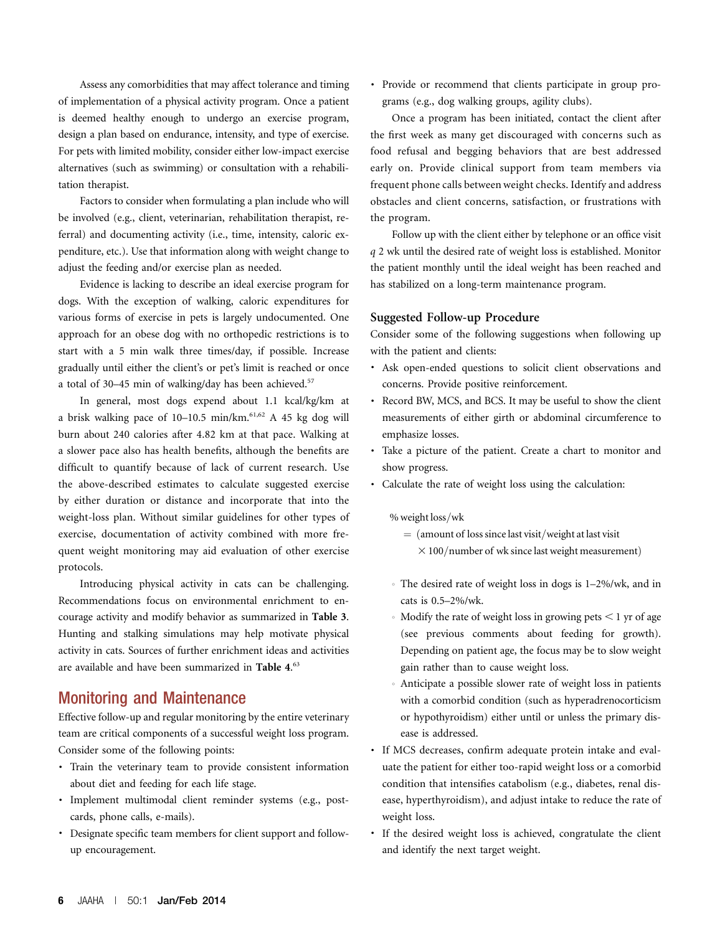Assess any comorbidities that may affect tolerance and timing of implementation of a physical activity program. Once a patient is deemed healthy enough to undergo an exercise program, design a plan based on endurance, intensity, and type of exercise. For pets with limited mobility, consider either low-impact exercise alternatives (such as swimming) or consultation with a rehabilitation therapist.

Factors to consider when formulating a plan include who will be involved (e.g., client, veterinarian, rehabilitation therapist, referral) and documenting activity (i.e., time, intensity, caloric expenditure, etc.). Use that information along with weight change to adjust the feeding and/or exercise plan as needed.

Evidence is lacking to describe an ideal exercise program for dogs. With the exception of walking, caloric expenditures for various forms of exercise in pets is largely undocumented. One approach for an obese dog with no orthopedic restrictions is to start with a 5 min walk three times/day, if possible. Increase gradually until either the client's or pet's limit is reached or once a total of 30–45 min of walking/day has been achieved.<sup>57</sup>

In general, most dogs expend about 1.1 kcal/kg/km at a brisk walking pace of  $10-10.5$  min/km. $61,62$  A 45 kg dog will burn about 240 calories after 4.82 km at that pace. Walking at a slower pace also has health benefits, although the benefits are difficult to quantify because of lack of current research. Use the above-described estimates to calculate suggested exercise by either duration or distance and incorporate that into the weight-loss plan. Without similar guidelines for other types of exercise, documentation of activity combined with more frequent weight monitoring may aid evaluation of other exercise protocols.

Introducing physical activity in cats can be challenging. Recommendations focus on environmental enrichment to encourage activity and modify behavior as summarized in Table 3. Hunting and stalking simulations may help motivate physical activity in cats. Sources of further enrichment ideas and activities are available and have been summarized in Table 4.<sup>63</sup>

## Monitoring and Maintenance

Effective follow-up and regular monitoring by the entire veterinary team are critical components of a successful weight loss program. Consider some of the following points:

- · Train the veterinary team to provide consistent information about diet and feeding for each life stage.
- · Implement multimodal client reminder systems (e.g., postcards, phone calls, e-mails).
- · Designate specific team members for client support and followup encouragement.

· Provide or recommend that clients participate in group programs (e.g., dog walking groups, agility clubs).

Once a program has been initiated, contact the client after the first week as many get discouraged with concerns such as food refusal and begging behaviors that are best addressed early on. Provide clinical support from team members via frequent phone calls between weight checks. Identify and address obstacles and client concerns, satisfaction, or frustrations with the program.

Follow up with the client either by telephone or an office visit q 2 wk until the desired rate of weight loss is established. Monitor the patient monthly until the ideal weight has been reached and has stabilized on a long-term maintenance program.

#### Suggested Follow-up Procedure

Consider some of the following suggestions when following up with the patient and clients:

- · Ask open-ended questions to solicit client observations and concerns. Provide positive reinforcement.
- · Record BW, MCS, and BCS. It may be useful to show the client measurements of either girth or abdominal circumference to emphasize losses.
- · Take a picture of the patient. Create a chart to monitor and show progress.
- · Calculate the rate of weight loss using the calculation:

 $%$  weight loss/wk

- $=$  (amount of loss since last visit/weight at last visit  $\times$  100/number of wk since last weight measurement)
- $\Phi$  The desired rate of weight loss in dogs is 1–2%/wk, and in cats is 0.5–2%/wk.
- $\bullet$  Modify the rate of weight loss in growing pets  $\leq 1$  yr of age (see previous comments about feeding for growth). Depending on patient age, the focus may be to slow weight gain rather than to cause weight loss.
- Anticipate a possible slower rate of weight loss in patients with a comorbid condition (such as hyperadrenocorticism or hypothyroidism) either until or unless the primary disease is addressed.
- · If MCS decreases, confirm adequate protein intake and evaluate the patient for either too-rapid weight loss or a comorbid condition that intensifies catabolism (e.g., diabetes, renal disease, hyperthyroidism), and adjust intake to reduce the rate of weight loss.
- If the desired weight loss is achieved, congratulate the client and identify the next target weight.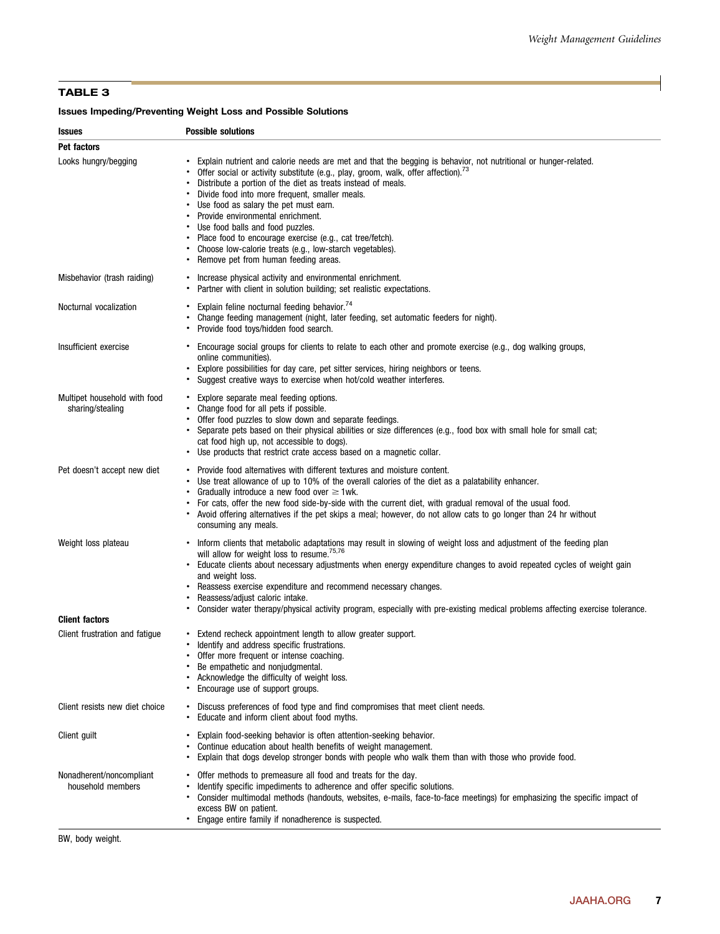## TABLE 3

## Issues Impeding/Preventing Weight Loss and Possible Solutions

| <b>Issues</b>                                    | <b>Possible solutions</b>                                                                                                                                                                                                                                                                                                                                                                                                                                                                                                                                                                                              |
|--------------------------------------------------|------------------------------------------------------------------------------------------------------------------------------------------------------------------------------------------------------------------------------------------------------------------------------------------------------------------------------------------------------------------------------------------------------------------------------------------------------------------------------------------------------------------------------------------------------------------------------------------------------------------------|
| Pet factors                                      |                                                                                                                                                                                                                                                                                                                                                                                                                                                                                                                                                                                                                        |
| Looks hungry/begging                             | Explain nutrient and calorie needs are met and that the begging is behavior, not nutritional or hunger-related.<br>Offer social or activity substitute (e.g., play, groom, walk, offer affection). <sup>73</sup><br>Distribute a portion of the diet as treats instead of meals.<br>Divide food into more frequent, smaller meals.<br>Use food as salary the pet must earn.<br>Provide environmental enrichment.<br>Use food balls and food puzzles.<br>• Place food to encourage exercise (e.g., cat tree/fetch).<br>Choose low-calorie treats (e.g., low-starch vegetables).<br>Remove pet from human feeding areas. |
| Misbehavior (trash raiding)                      | Increase physical activity and environmental enrichment.<br>Partner with client in solution building; set realistic expectations.                                                                                                                                                                                                                                                                                                                                                                                                                                                                                      |
| Nocturnal vocalization                           | Explain feline nocturnal feeding behavior. <sup>74</sup><br>Change feeding management (night, later feeding, set automatic feeders for night).<br>Provide food toys/hidden food search.                                                                                                                                                                                                                                                                                                                                                                                                                                |
| Insufficient exercise                            | • Encourage social groups for clients to relate to each other and promote exercise (e.g., dog walking groups,<br>online communities).<br>Explore possibilities for day care, pet sitter services, hiring neighbors or teens.<br>Suggest creative ways to exercise when hot/cold weather interferes.                                                                                                                                                                                                                                                                                                                    |
| Multipet household with food<br>sharing/stealing | • Explore separate meal feeding options.<br>• Change food for all pets if possible.<br>Offer food puzzles to slow down and separate feedings.<br>• Separate pets based on their physical abilities or size differences (e.g., food box with small hole for small cat;<br>cat food high up, not accessible to dogs).<br>Use products that restrict crate access based on a magnetic collar.                                                                                                                                                                                                                             |
| Pet doesn't accept new diet                      | • Provide food alternatives with different textures and moisture content.<br>Use treat allowance of up to 10% of the overall calories of the diet as a palatability enhancer.<br>Gradually introduce a new food over $\geq 1$ wk.<br>For cats, offer the new food side-by-side with the current diet, with gradual removal of the usual food.<br>Avoid offering alternatives if the pet skips a meal; however, do not allow cats to go longer than 24 hr without<br>consuming any meals.                                                                                                                               |
| Weight loss plateau                              | Inform clients that metabolic adaptations may result in slowing of weight loss and adjustment of the feeding plan<br>will allow for weight loss to resume. <sup>75,76</sup><br>Educate clients about necessary adjustments when energy expenditure changes to avoid repeated cycles of weight gain<br>and weight loss.<br>Reassess exercise expenditure and recommend necessary changes.<br>Reassess/adjust caloric intake.<br>Consider water therapy/physical activity program, especially with pre-existing medical problems affecting exercise tolerance.                                                           |
| <b>Client factors</b>                            |                                                                                                                                                                                                                                                                                                                                                                                                                                                                                                                                                                                                                        |
| Client frustration and fatigue                   | Extend recheck appointment length to allow greater support.<br>Identify and address specific frustrations.<br>Offer more frequent or intense coaching<br>Be empathetic and nonjudgmental.<br>Acknowledge the difficulty of weight loss.<br>Encourage use of support groups.                                                                                                                                                                                                                                                                                                                                            |
| Client resists new diet choice                   | Discuss preferences of food type and find compromises that meet client needs.<br>Educate and inform client about food myths.                                                                                                                                                                                                                                                                                                                                                                                                                                                                                           |
| Client guilt                                     | Explain food-seeking behavior is often attention-seeking behavior.<br>Continue education about health benefits of weight management.<br>Explain that dogs develop stronger bonds with people who walk them than with those who provide food.                                                                                                                                                                                                                                                                                                                                                                           |
| Nonadherent/noncompliant<br>household members    | Offer methods to premeasure all food and treats for the day.<br>Identify specific impediments to adherence and offer specific solutions.<br>Consider multimodal methods (handouts, websites, e-mails, face-to-face meetings) for emphasizing the specific impact of<br>excess BW on patient.<br>Engage entire family if nonadherence is suspected.                                                                                                                                                                                                                                                                     |

BW, body weight.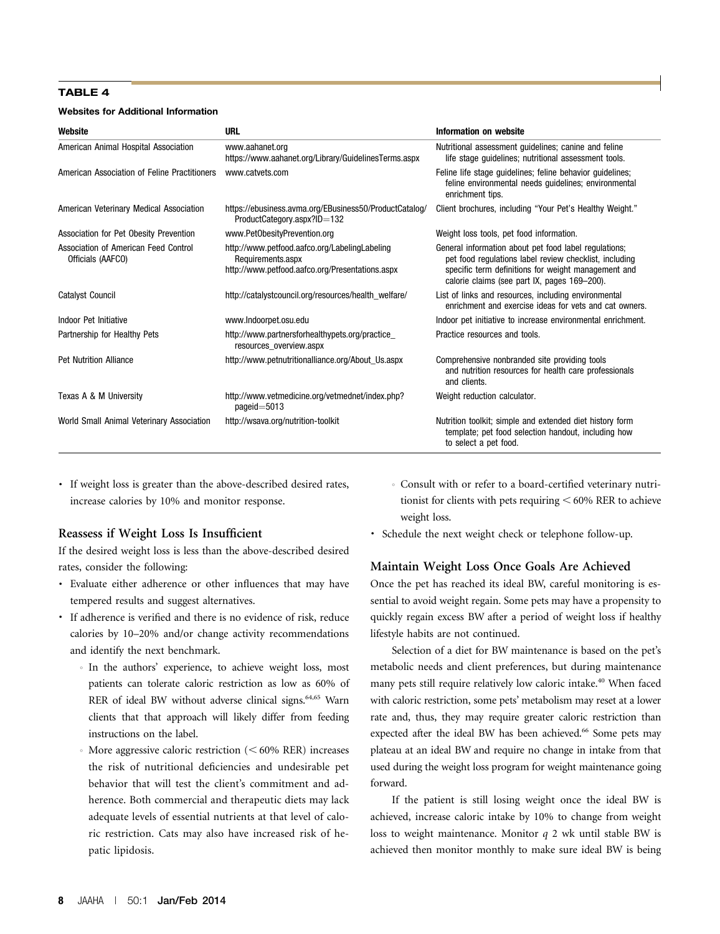#### TABLE 4

#### Websites for Additional Information

| Website                                                   | <b>URL</b>                                                                                                            | Information on website                                                                                                                                                                                                 |
|-----------------------------------------------------------|-----------------------------------------------------------------------------------------------------------------------|------------------------------------------------------------------------------------------------------------------------------------------------------------------------------------------------------------------------|
| American Animal Hospital Association                      | www.aahanet.org<br>https://www.aahanet.org/Library/GuidelinesTerms.aspx                                               | Nutritional assessment guidelines; canine and feline<br>life stage guidelines; nutritional assessment tools.                                                                                                           |
| American Association of Feline Practitioners              | www.catvets.com                                                                                                       | Feline life stage guidelines; feline behavior guidelines;<br>feline environmental needs guidelines; environmental<br>enrichment tips.                                                                                  |
| American Veterinary Medical Association                   | https://ebusiness.avma.org/EBusiness50/ProductCatalog/<br>ProductCategory.aspx?ID=132                                 | Client brochures, including "Your Pet's Healthy Weight."                                                                                                                                                               |
| Association for Pet Obesity Prevention                    | www.PetObesityPrevention.org                                                                                          | Weight loss tools, pet food information.                                                                                                                                                                               |
| Association of American Feed Control<br>Officials (AAFCO) | http://www.petfood.aafco.org/LabelingLabeling<br>Requirements.aspx<br>http://www.petfood.aafco.org/Presentations.aspx | General information about pet food label regulations;<br>pet food regulations label review checklist, including<br>specific term definitions for weight management and<br>calorie claims (see part IX, pages 169–200). |
| <b>Catalyst Council</b>                                   | http://catalystcouncil.org/resources/health_welfare/                                                                  | List of links and resources, including environmental<br>enrichment and exercise ideas for yets and cat owners.                                                                                                         |
| Indoor Pet Initiative                                     | www.Indoorpet.osu.edu                                                                                                 | Indoor pet initiative to increase environmental enrichment.                                                                                                                                                            |
| Partnership for Healthy Pets                              | http://www.partnersforhealthypets.org/practice_<br>resources overview.aspx                                            | Practice resources and tools.                                                                                                                                                                                          |
| <b>Pet Nutrition Alliance</b>                             | http://www.petnutritionalliance.org/About Us.aspx                                                                     | Comprehensive nonbranded site providing tools<br>and nutrition resources for health care professionals<br>and clients.                                                                                                 |
| Texas A & M University                                    | http://www.vetmedicine.org/vetmednet/index.php?<br>pageid= $5013$                                                     | Weight reduction calculator.                                                                                                                                                                                           |
| World Small Animal Veterinary Association                 | http://wsava.org/nutrition-toolkit                                                                                    | Nutrition toolkit; simple and extended diet history form<br>template; pet food selection handout, including how<br>to select a pet food.                                                                               |

· If weight loss is greater than the above-described desired rates, increase calories by 10% and monitor response.

## Reassess if Weight Loss Is Insufficient

If the desired weight loss is less than the above-described desired rates, consider the following:

- · Evaluate either adherence or other influences that may have tempered results and suggest alternatives.
- · If adherence is verified and there is no evidence of risk, reduce calories by 10–20% and/or change activity recommendations and identify the next benchmark.
	- In the authors' experience, to achieve weight loss, most patients can tolerate caloric restriction as low as 60% of RER of ideal BW without adverse clinical signs.<sup>64,65</sup> Warn clients that that approach will likely differ from feeding instructions on the label.
	- More aggressive caloric restriction  $(< 60\%$  RER) increases the risk of nutritional deficiencies and undesirable pet behavior that will test the client's commitment and adherence. Both commercial and therapeutic diets may lack adequate levels of essential nutrients at that level of caloric restriction. Cats may also have increased risk of hepatic lipidosis.
- $\circ$  Consult with or refer to a board-certified veterinary nutritionist for clients with pets requiring  $<$  60% RER to achieve weight loss.
- · Schedule the next weight check or telephone follow-up.

## Maintain Weight Loss Once Goals Are Achieved

Once the pet has reached its ideal BW, careful monitoring is essential to avoid weight regain. Some pets may have a propensity to quickly regain excess BW after a period of weight loss if healthy lifestyle habits are not continued.

Selection of a diet for BW maintenance is based on the pet's metabolic needs and client preferences, but during maintenance many pets still require relatively low caloric intake.<sup>40</sup> When faced with caloric restriction, some pets' metabolism may reset at a lower rate and, thus, they may require greater caloric restriction than expected after the ideal BW has been achieved.<sup>66</sup> Some pets may plateau at an ideal BW and require no change in intake from that used during the weight loss program for weight maintenance going forward.

If the patient is still losing weight once the ideal BW is achieved, increase caloric intake by 10% to change from weight loss to weight maintenance. Monitor q 2 wk until stable BW is achieved then monitor monthly to make sure ideal BW is being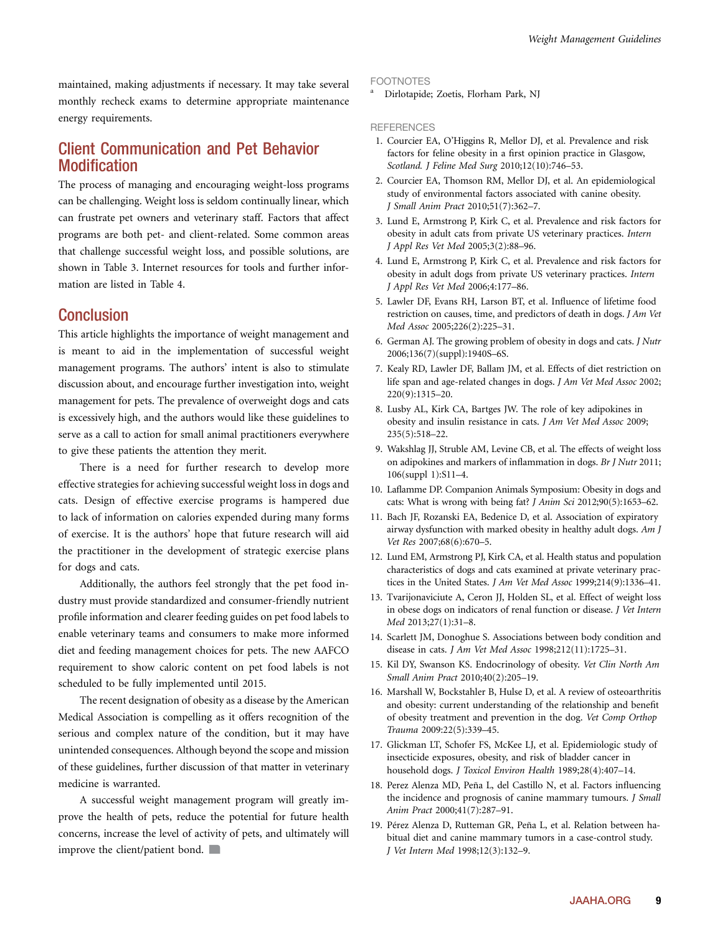maintained, making adjustments if necessary. It may take several monthly recheck exams to determine appropriate maintenance energy requirements.

# Client Communication and Pet Behavior Modification

The process of managing and encouraging weight-loss programs can be challenging. Weight loss is seldom continually linear, which can frustrate pet owners and veterinary staff. Factors that affect programs are both pet- and client-related. Some common areas that challenge successful weight loss, and possible solutions, are shown in Table 3. Internet resources for tools and further information are listed in Table 4.

# **Conclusion**

This article highlights the importance of weight management and is meant to aid in the implementation of successful weight management programs. The authors' intent is also to stimulate discussion about, and encourage further investigation into, weight management for pets. The prevalence of overweight dogs and cats is excessively high, and the authors would like these guidelines to serve as a call to action for small animal practitioners everywhere to give these patients the attention they merit.

There is a need for further research to develop more effective strategies for achieving successful weight loss in dogs and cats. Design of effective exercise programs is hampered due to lack of information on calories expended during many forms of exercise. It is the authors' hope that future research will aid the practitioner in the development of strategic exercise plans for dogs and cats.

Additionally, the authors feel strongly that the pet food industry must provide standardized and consumer-friendly nutrient profile information and clearer feeding guides on pet food labels to enable veterinary teams and consumers to make more informed diet and feeding management choices for pets. The new AAFCO requirement to show caloric content on pet food labels is not scheduled to be fully implemented until 2015.

The recent designation of obesity as a disease by the American Medical Association is compelling as it offers recognition of the serious and complex nature of the condition, but it may have unintended consequences. Although beyond the scope and mission of these guidelines, further discussion of that matter in veterinary medicine is warranted.

A successful weight management program will greatly improve the health of pets, reduce the potential for future health concerns, increase the level of activity of pets, and ultimately will improve the client/patient bond.

#### FOOTNOTES

<sup>a</sup> Dirlotapide; Zoetis, Florham Park, NJ

#### **REFERENCES**

- 1. Courcier EA, O'Higgins R, Mellor DJ, et al. Prevalence and risk factors for feline obesity in a first opinion practice in Glasgow, Scotland. J Feline Med Surg 2010;12(10):746–53.
- 2. Courcier EA, Thomson RM, Mellor DJ, et al. An epidemiological study of environmental factors associated with canine obesity. J Small Anim Pract 2010;51(7):362–7.
- 3. Lund E, Armstrong P, Kirk C, et al. Prevalence and risk factors for obesity in adult cats from private US veterinary practices. Intern J Appl Res Vet Med 2005;3(2):88–96.
- 4. Lund E, Armstrong P, Kirk C, et al. Prevalence and risk factors for obesity in adult dogs from private US veterinary practices. Intern J Appl Res Vet Med 2006;4:177–86.
- 5. Lawler DF, Evans RH, Larson BT, et al. Influence of lifetime food restriction on causes, time, and predictors of death in dogs. J Am Vet Med Assoc 2005;226(2):225–31.
- 6. German AJ. The growing problem of obesity in dogs and cats. J Nutr 2006;136(7)(suppl):1940S–6S.
- 7. Kealy RD, Lawler DF, Ballam JM, et al. Effects of diet restriction on life span and age-related changes in dogs. J Am Vet Med Assoc 2002; 220(9):1315–20.
- 8. Lusby AL, Kirk CA, Bartges JW. The role of key adipokines in obesity and insulin resistance in cats. J Am Vet Med Assoc 2009; 235(5):518–22.
- 9. Wakshlag JJ, Struble AM, Levine CB, et al. The effects of weight loss on adipokines and markers of inflammation in dogs. Br J Nutr 2011; 106(suppl 1):S11–4.
- 10. Laflamme DP. Companion Animals Symposium: Obesity in dogs and cats: What is wrong with being fat? J Anim Sci 2012;90(5):1653–62.
- 11. Bach JF, Rozanski EA, Bedenice D, et al. Association of expiratory airway dysfunction with marked obesity in healthy adult dogs. Am J Vet Res 2007;68(6):670–5.
- 12. Lund EM, Armstrong PJ, Kirk CA, et al. Health status and population characteristics of dogs and cats examined at private veterinary practices in the United States. J Am Vet Med Assoc 1999;214(9):1336–41.
- 13. Tvarijonaviciute A, Ceron JJ, Holden SL, et al. Effect of weight loss in obese dogs on indicators of renal function or disease. J Vet Intern Med 2013;27(1):31–8.
- 14. Scarlett JM, Donoghue S. Associations between body condition and disease in cats. J Am Vet Med Assoc 1998;212(11):1725–31.
- 15. Kil DY, Swanson KS. Endocrinology of obesity. Vet Clin North Am Small Anim Pract 2010;40(2):205–19.
- 16. Marshall W, Bockstahler B, Hulse D, et al. A review of osteoarthritis and obesity: current understanding of the relationship and benefit of obesity treatment and prevention in the dog. Vet Comp Orthop Trauma 2009:22(5):339–45.
- 17. Glickman LT, Schofer FS, McKee LJ, et al. Epidemiologic study of insecticide exposures, obesity, and risk of bladder cancer in household dogs. J Toxicol Environ Health 1989;28(4):407–14.
- 18. Perez Alenza MD, Peña L, del Castillo N, et al. Factors influencing the incidence and prognosis of canine mammary tumours. *J Small* Anim Pract 2000;41(7):287–91.
- 19. Pérez Alenza D, Rutteman GR, Peña L, et al. Relation between habitual diet and canine mammary tumors in a case-control study. J Vet Intern Med 1998;12(3):132–9.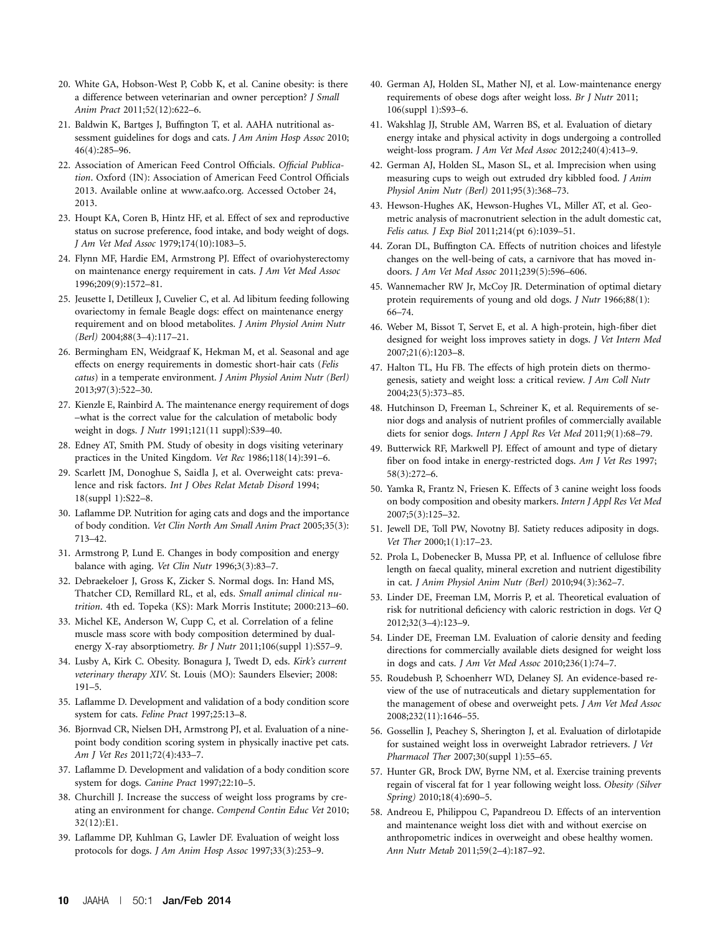- 20. White GA, Hobson-West P, Cobb K, et al. Canine obesity: is there a difference between veterinarian and owner perception? J Small Anim Pract 2011;52(12):622–6.
- 21. Baldwin K, Bartges J, Buffington T, et al. AAHA nutritional assessment guidelines for dogs and cats. *J Am Anim Hosp Assoc* 2010; 46(4):285–96.
- 22. Association of American Feed Control Officials. Official Publication. Oxford (IN): Association of American Feed Control Officials 2013. Available online at www.aafco.org. Accessed October 24, 2013.
- 23. Houpt KA, Coren B, Hintz HF, et al. Effect of sex and reproductive status on sucrose preference, food intake, and body weight of dogs. J Am Vet Med Assoc 1979;174(10):1083–5.
- 24. Flynn MF, Hardie EM, Armstrong PJ. Effect of ovariohysterectomy on maintenance energy requirement in cats. J Am Vet Med Assoc 1996;209(9):1572–81.
- 25. Jeusette I, Detilleux J, Cuvelier C, et al. Ad libitum feeding following ovariectomy in female Beagle dogs: effect on maintenance energy requirement and on blood metabolites. J Anim Physiol Anim Nutr (Berl) 2004;88(3–4):117–21.
- 26. Bermingham EN, Weidgraaf K, Hekman M, et al. Seasonal and age effects on energy requirements in domestic short-hair cats (Felis catus) in a temperate environment. J Anim Physiol Anim Nutr (Berl) 2013;97(3):522–30.
- 27. Kienzle E, Rainbird A. The maintenance energy requirement of dogs –what is the correct value for the calculation of metabolic body weight in dogs. J Nutr 1991;121(11 suppl):S39–40.
- 28. Edney AT, Smith PM. Study of obesity in dogs visiting veterinary practices in the United Kingdom. Vet Rec 1986;118(14):391–6.
- 29. Scarlett JM, Donoghue S, Saidla J, et al. Overweight cats: prevalence and risk factors. Int J Obes Relat Metab Disord 1994; 18(suppl 1):S22–8.
- 30. Laflamme DP. Nutrition for aging cats and dogs and the importance of body condition. Vet Clin North Am Small Anim Pract 2005;35(3): 713–42.
- 31. Armstrong P, Lund E. Changes in body composition and energy balance with aging. Vet Clin Nutr 1996;3(3):83-7.
- 32. Debraekeloer J, Gross K, Zicker S. Normal dogs. In: Hand MS, Thatcher CD, Remillard RL, et al, eds. Small animal clinical nutrition. 4th ed. Topeka (KS): Mark Morris Institute; 2000:213–60.
- 33. Michel KE, Anderson W, Cupp C, et al. Correlation of a feline muscle mass score with body composition determined by dualenergy X-ray absorptiometry. Br J Nutr 2011;106(suppl 1):S57-9.
- 34. Lusby A, Kirk C. Obesity. Bonagura J, Twedt D, eds. Kirk's current veterinary therapy XIV. St. Louis (MO): Saunders Elsevier; 2008: 191–5.
- 35. Laflamme D. Development and validation of a body condition score system for cats. Feline Pract 1997;25:13–8.
- 36. Bjornvad CR, Nielsen DH, Armstrong PJ, et al. Evaluation of a ninepoint body condition scoring system in physically inactive pet cats. Am J Vet Res 2011;72(4):433–7.
- 37. Laflamme D. Development and validation of a body condition score system for dogs. Canine Pract 1997;22:10–5.
- 38. Churchill J. Increase the success of weight loss programs by creating an environment for change. Compend Contin Educ Vet 2010; 32(12):E1.
- 39. Laflamme DP, Kuhlman G, Lawler DF. Evaluation of weight loss protocols for dogs. J Am Anim Hosp Assoc 1997;33(3):253–9.
- 40. German AJ, Holden SL, Mather NJ, et al. Low-maintenance energy requirements of obese dogs after weight loss. Br J Nutr 2011; 106(suppl 1):S93–6.
- 41. Wakshlag JJ, Struble AM, Warren BS, et al. Evaluation of dietary energy intake and physical activity in dogs undergoing a controlled weight-loss program. J Am Vet Med Assoc 2012;240(4):413–9.
- 42. German AJ, Holden SL, Mason SL, et al. Imprecision when using measuring cups to weigh out extruded dry kibbled food. J Anim Physiol Anim Nutr (Berl) 2011;95(3):368–73.
- 43. Hewson-Hughes AK, Hewson-Hughes VL, Miller AT, et al. Geometric analysis of macronutrient selection in the adult domestic cat, Felis catus. J Exp Biol 2011;214(pt 6):1039–51.
- 44. Zoran DL, Buffington CA. Effects of nutrition choices and lifestyle changes on the well-being of cats, a carnivore that has moved indoors. J Am Vet Med Assoc 2011;239(5):596–606.
- 45. Wannemacher RW Jr, McCoy JR. Determination of optimal dietary protein requirements of young and old dogs. J Nutr 1966;88(1): 66–74.
- 46. Weber M, Bissot T, Servet E, et al. A high-protein, high-fiber diet designed for weight loss improves satiety in dogs. J Vet Intern Med 2007;21(6):1203–8.
- 47. Halton TL, Hu FB. The effects of high protein diets on thermogenesis, satiety and weight loss: a critical review. J Am Coll Nutr 2004;23(5):373–85.
- 48. Hutchinson D, Freeman L, Schreiner K, et al. Requirements of senior dogs and analysis of nutrient profiles of commercially available diets for senior dogs. Intern J Appl Res Vet Med 2011;9(1):68–79.
- 49. Butterwick RF, Markwell PJ. Effect of amount and type of dietary fiber on food intake in energy-restricted dogs. Am J Vet Res 1997; 58(3):272–6.
- 50. Yamka R, Frantz N, Friesen K. Effects of 3 canine weight loss foods on body composition and obesity markers. Intern J Appl Res Vet Med 2007;5(3):125–32.
- 51. Jewell DE, Toll PW, Novotny BJ. Satiety reduces adiposity in dogs. Vet Ther 2000;1(1):17–23.
- 52. Prola L, Dobenecker B, Mussa PP, et al. Influence of cellulose fibre length on faecal quality, mineral excretion and nutrient digestibility in cat. J Anim Physiol Anim Nutr (Berl) 2010;94(3):362–7.
- 53. Linder DE, Freeman LM, Morris P, et al. Theoretical evaluation of risk for nutritional deficiency with caloric restriction in dogs. Vet Q 2012;32(3–4):123–9.
- 54. Linder DE, Freeman LM. Evaluation of calorie density and feeding directions for commercially available diets designed for weight loss in dogs and cats. J Am Vet Med Assoc 2010;236(1):74–7.
- 55. Roudebush P, Schoenherr WD, Delaney SJ. An evidence-based review of the use of nutraceuticals and dietary supplementation for the management of obese and overweight pets. J Am Vet Med Assoc 2008;232(11):1646–55.
- 56. Gossellin J, Peachey S, Sherington J, et al. Evaluation of dirlotapide for sustained weight loss in overweight Labrador retrievers. J Vet Pharmacol Ther 2007;30(suppl 1):55–65.
- 57. Hunter GR, Brock DW, Byrne NM, et al. Exercise training prevents regain of visceral fat for 1 year following weight loss. Obesity (Silver Spring) 2010;18(4):690–5.
- 58. Andreou E, Philippou C, Papandreou D. Effects of an intervention and maintenance weight loss diet with and without exercise on anthropometric indices in overweight and obese healthy women. Ann Nutr Metab 2011;59(2–4):187–92.